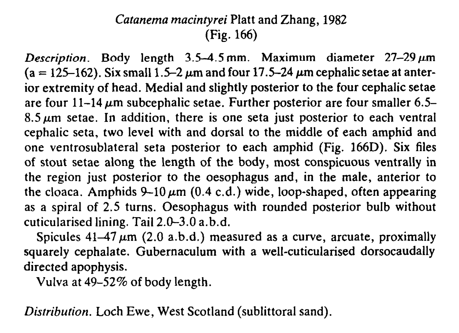## Catanema macintyrei Platt and Zhang, 1982 (Fig. 166)

Description. Body length  $3.5-4.5$  mm. Maximum diameter  $27-29 \,\mu m$  $(a = 125-162)$ . Six small 1.5-2  $\mu$ m and four 17.5-24  $\mu$ m cephalic setae at anterior extremity of head. Medial and slightly posterior to the four cephalic setae are four  $11-14 \mu m$  subcephalic setae. Further posterior are four smaller 6.5- $8.5 \mu m$  setae. In addition, there is one seta just posterior to each ventral cephalic seta, two level with and dorsal to the middle of each amphid and one ventrosublateral seta posterior to each amphid (Fig. 166D). Six files of stout setae along the length of the body, most conspicuous ventrally in the region just posterior to the oesophagus and, in the male, anterior to the cloaca. Amphids  $9-10 \mu m$  (0.4 c.d.) wide, loop-shaped, often appearing as a spiral of 2.5 turns. Oesophagus with rounded posterior bulb without cuticularised lining. Tail 2.0-3.0 a.b.d.

Spicules  $41-47 \mu m$  (2.0 a.b.d.) measured as a curve, arcuate, proximally squarely cephalate. Gubernaculum with a well-cuticularised dorsocaudally directed apophysis.

Vulva at 49-52% of body length.

Distribution. Loch Ewe, West Scotland (sublittoral sand).